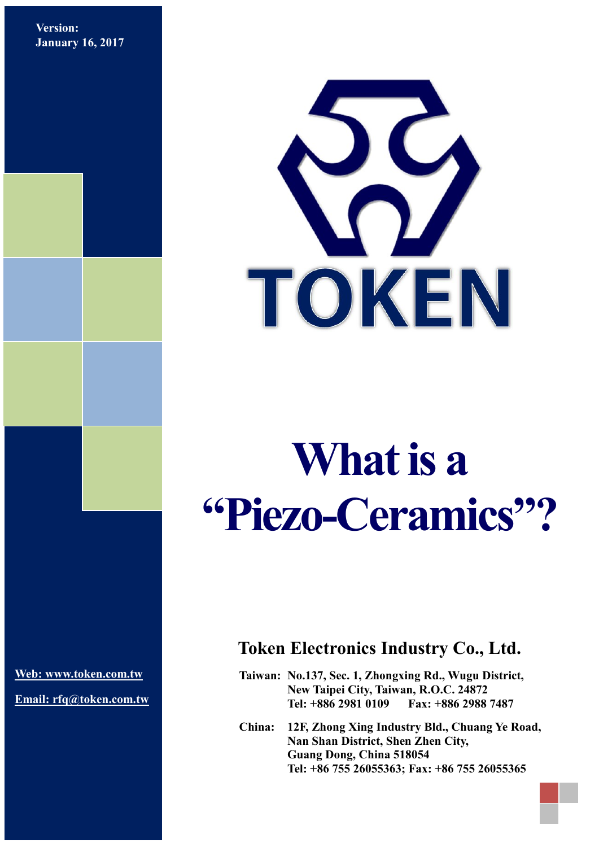**Version: January 16, 2017**



## **What is a "Piezo-Ceramics"?**

**[Web: www.token.com.tw](http://www.token.com.tw/)**

**Email: rfq@token.com.tw**

## **Token Electronics Industry Co., Ltd.**

**Taiwan: No.137, Sec. 1, Zhongxing Rd., Wugu District, New Taipei City, Taiwan, R.O.C. 24872 Tel: +886 2981 0109 Fax: +886 2988 7487**

**China: 12F, Zhong Xing Industry Bld., Chuang Ye Road, Nan Shan District, Shen Zhen City, Guang Dong, China 518054 Tel: +86 755 26055363; Fax: +86 755 26055365**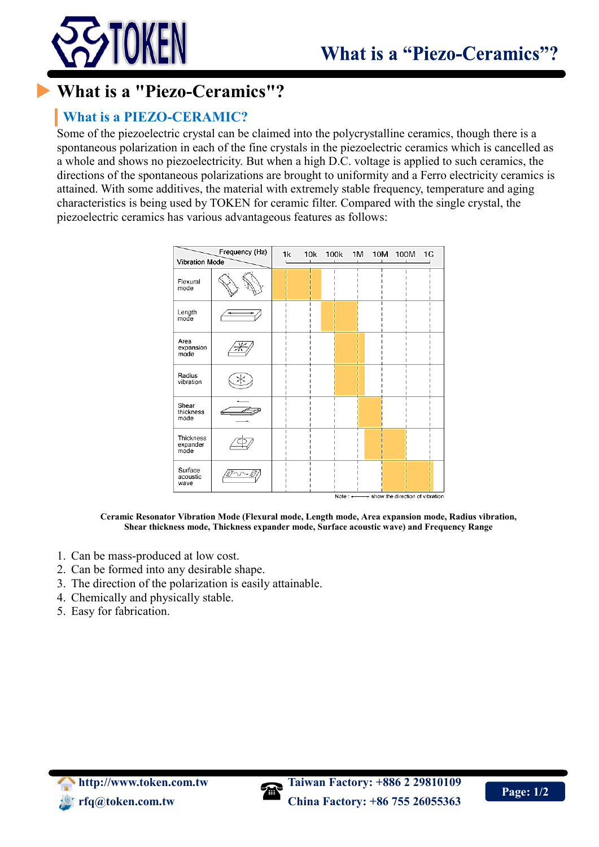

## **[What is a "Piezo-Ceramics"?](file:///D:/0-WebSite/0-TokenTaiwan/Token%20Taiwan/what-is-a-piezo-ceramic.htm)**

## **What is a PIEZO-CERAMIC?**

Some of the piezoelectric crystal can be claimed into the polycrystalline ceramics, though there is a spontaneous polarization in each of the fine crystals in the piezoelectric ceramics which is cancelled as a whole and shows no piezoelectricity. But when a high D.C. voltage is applied to such ceramics, the directions of the spontaneous polarizations are brought to uniformity and a Ferro electricity ceramics is attained. With some additives, the material with extremely stable frequency, temperature and aging characteristics is being used by TOKEN for ceramic filter. Compared with the single crystal, the piezoelectric ceramics has various advantageous features as follows:

| Frequency (Hz)<br>Vibration Mode |  | 1k | 10k | 100k | 1M             | 10M | 100M                            | 1G |
|----------------------------------|--|----|-----|------|----------------|-----|---------------------------------|----|
| Flexural<br>mode                 |  |    |     |      |                |     |                                 |    |
| Length<br>mode                   |  |    |     |      |                |     |                                 |    |
| Area<br>expansion<br>mode        |  |    |     |      |                |     |                                 |    |
| Radius<br>vibration              |  |    |     |      |                |     |                                 |    |
| Shear<br>thickness<br>mode       |  |    |     |      |                |     |                                 |    |
| Thickness<br>expander<br>mode    |  |    |     |      |                |     |                                 |    |
| Surface<br>acoustic<br>wave      |  |    |     |      | $M$ oto $\sim$ |     | chow the direction of vibration |    |

**Ceramic Resonator Vibration Mode (Flexural mode, Length mode, Area expansion mode, Radius vibration, Shear thickness mode, Thickness expander mode, Surface acoustic wave) and Frequency Range**

- 1. Can be mass-produced at low cost.
- 2. Can be formed into any desirable shape.
- 3. The direction of the polarization is easily attainable.
- 4. Chemically and physically stable.
- 5. Easy for fabrication.